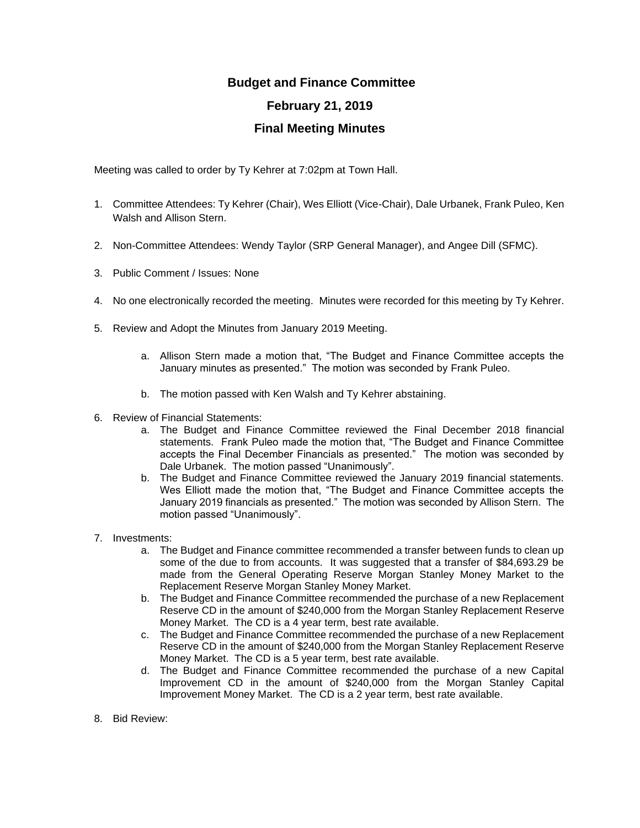## **Budget and Finance Committee February 21, 2019 Final Meeting Minutes**

Meeting was called to order by Ty Kehrer at 7:02pm at Town Hall.

- 1. Committee Attendees: Ty Kehrer (Chair), Wes Elliott (Vice-Chair), Dale Urbanek, Frank Puleo, Ken Walsh and Allison Stern.
- 2. Non-Committee Attendees: Wendy Taylor (SRP General Manager), and Angee Dill (SFMC).
- 3. Public Comment / Issues: None
- 4. No one electronically recorded the meeting. Minutes were recorded for this meeting by Ty Kehrer.
- 5. Review and Adopt the Minutes from January 2019 Meeting.
	- a. Allison Stern made a motion that, "The Budget and Finance Committee accepts the January minutes as presented." The motion was seconded by Frank Puleo.
	- b. The motion passed with Ken Walsh and Ty Kehrer abstaining.
- 6. Review of Financial Statements:
	- a. The Budget and Finance Committee reviewed the Final December 2018 financial statements. Frank Puleo made the motion that, "The Budget and Finance Committee accepts the Final December Financials as presented." The motion was seconded by Dale Urbanek. The motion passed "Unanimously".
	- b. The Budget and Finance Committee reviewed the January 2019 financial statements. Wes Elliott made the motion that, "The Budget and Finance Committee accepts the January 2019 financials as presented." The motion was seconded by Allison Stern. The motion passed "Unanimously".
- 7. Investments:
	- a. The Budget and Finance committee recommended a transfer between funds to clean up some of the due to from accounts. It was suggested that a transfer of \$84,693.29 be made from the General Operating Reserve Morgan Stanley Money Market to the Replacement Reserve Morgan Stanley Money Market.
	- b. The Budget and Finance Committee recommended the purchase of a new Replacement Reserve CD in the amount of \$240,000 from the Morgan Stanley Replacement Reserve Money Market. The CD is a 4 year term, best rate available.
	- c. The Budget and Finance Committee recommended the purchase of a new Replacement Reserve CD in the amount of \$240,000 from the Morgan Stanley Replacement Reserve Money Market. The CD is a 5 year term, best rate available.
	- d. The Budget and Finance Committee recommended the purchase of a new Capital Improvement CD in the amount of \$240,000 from the Morgan Stanley Capital Improvement Money Market. The CD is a 2 year term, best rate available.
- 8. Bid Review: